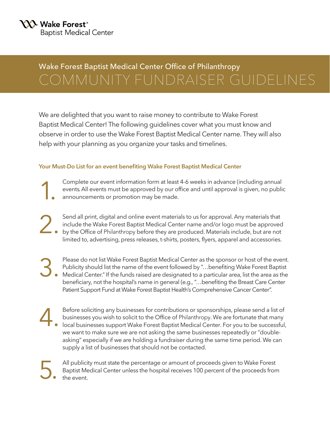5.

### Wake Forest Baptist Medical Center Office of Philanthropy COMMUNITY FUNDRAISER GUIDELINES

We are delighted that you want to raise money to contribute to Wake Forest Baptist Medical Center! The following guidelines cover what you must know and observe in order to use the Wake Forest Baptist Medical Center name. They will also help with your planning as you organize your tasks and timelines.

#### **Your Must-Do List for an event benefiting Wake Forest Baptist Medical Center**

Complete our event information form at least 4-6 weeks in advance (including annual events. All events must be approved by our office and until approval is given, no public announcements or promotion may be made. 1.

Send all print, digital and online event materials to us for approval. Any materials that include the Wake Forest Baptist Medical Center name and/or logo must be approved by the Office of Philanthropy before they are produced. Materials include, but are not limited to, advertising, press releases, t-shirts, posters, flyers, apparel and accessories. 2.

Please do not list Wake Forest Baptist Medical Center as the sponsor or host of the event. Publicity should list the name of the event followed by "…benefiting Wake Forest Baptist Medical Center." If the funds raised are designated to a particular area, list the area as the beneficiary, not the hospital's name in general (e.g., "…benefiting the Breast Care Center Patient Support Fund at Wake Forest Baptist Health's Comprehensive Cancer Center". 3.

Before soliciting any businesses for contributions or sponsorships, please send a list of businesses you wish to solicit to the Office of Philanthropy. We are fortunate that many local businesses support Wake Forest Baptist Medical Center. For you to be successful, we want to make sure we are not asking the same businesses repeatedly or "doubleasking" especially if we are holding a fundraiser during the same time period. We can supply a list of businesses that should not be contacted. 4.

All publicity must state the percentage or amount of proceeds given to Wake Forest Baptist Medical Center unless the hospital receives 100 percent of the proceeds from the event.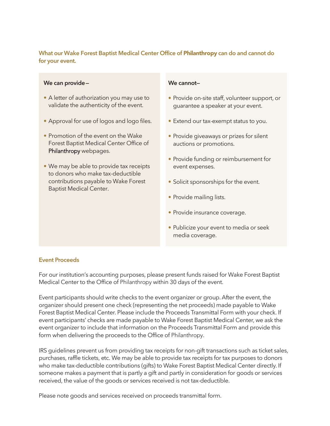#### **What our Wake Forest Baptist Medical Center Office of** Philanthropy **can do and cannot do for your event.**

#### **We can provide—**

- A letter of authorization you may use to validate the authenticity of the event.
- Approval for use of logos and logo files.
- Promotion of the event on the Wake Forest Baptist Medical Center Office of Philanthropy webpages.
- We may be able to provide tax receipts to donors who make tax-deductible contributions payable to Wake Forest Baptist Medical Center.

#### **We cannot—**

- Provide on-site staff, volunteer support, or guarantee a speaker at your event.
- Extend our tax-exempt status to you.
- Provide giveaways or prizes for silent auctions or promotions.
- Provide funding or reimbursement for event expenses.
- Solicit sponsorships for the event.
- Provide mailing lists.
- Provide insurance coverage.
- Publicize your event to media or seek media coverage.

#### **Event Proceeds**

For our institution's accounting purposes, please present funds raised for Wake Forest Baptist Medical Center to the Office of Philanthropy within 30 days of the event.

Event participants should write checks to the event organizer or group. After the event, the organizer should present one check (representing the net proceeds) made payable to Wake Forest Baptist Medical Center. Please include the Proceeds Transmittal Form with your check. If event participants' checks are made payable to Wake Forest Baptist Medical Center, we ask the event organizer to include that information on the Proceeds Transmittal Form and provide this form when delivering the proceeds to the Office of Philanthropy.

IRS guidelines prevent us from providing tax receipts for non-gift transactions such as ticket sales, purchases, raffle tickets, etc. We may be able to provide tax receipts for tax purposes to donors who make tax-deductible contributions (gifts) to Wake Forest Baptist Medical Center directly. If someone makes a payment that is partly a gift and partly in consideration for goods or services received, the value of the goods or services received is not tax-deductible.

Please note goods and services received on proceeds transmittal form.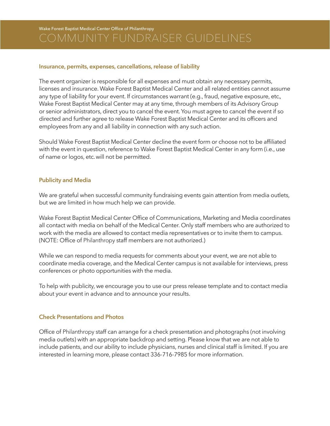Wake Forest Baptist Medical Center Office of Philanthropy

#### **Insurance, permits, expenses, cancellations, release of liability**

The event organizer is responsible for all expenses and must obtain any necessary permits, licenses and insurance. Wake Forest Baptist Medical Center and all related entities cannot assume any type of liability for your event. If circumstances warrant (e.g., fraud, negative exposure, etc., Wake Forest Baptist Medical Center may at any time, through members of its Advisory Group or senior administrators, direct you to cancel the event. You must agree to cancel the event if so directed and further agree to release Wake Forest Baptist Medical Center and its officers and employees from any and all liability in connection with any such action.

Should Wake Forest Baptist Medical Center decline the event form or choose not to be affiliated with the event in question, reference to Wake Forest Baptist Medical Center in any form (i.e., use of name or logos, etc. will not be permitted.

#### **Publicity and Media**

We are grateful when successful community fundraising events gain attention from media outlets, but we are limited in how much help we can provide.

Wake Forest Baptist Medical Center Office of Communications, Marketing and Media coordinates all contact with media on behalf of the Medical Center. Only staff members who are authorized to work with the media are allowed to contact media representatives or to invite them to campus. (NOTE: Office of Philanthropy staff members are not authorized.)

While we can respond to media requests for comments about your event, we are not able to coordinate media coverage, and the Medical Center campus is not available for interviews, press conferences or photo opportunities with the media.

To help with publicity, we encourage you to use our press release template and to contact media about your event in advance and to announce your results.

#### **Check Presentations and Photos**

Office of Philanthropy staff can arrange for a check presentation and photographs (not involving media outlets) with an appropriate backdrop and setting. Please know that we are not able to include patients, and our ability to include physicians, nurses and clinical staff is limited. If you are interested in learning more, please contact 336-716-7985 for more information.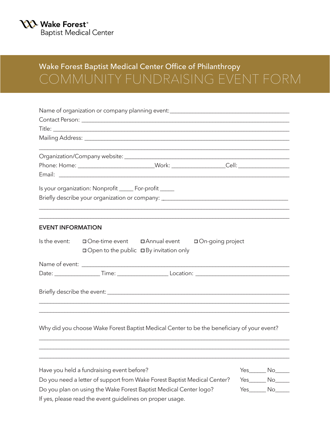### Wake Forest Baptist Medical Center Office of Philanthropy COMMUNITY FUNDRAISING EVENT FORM

| Name of organization or company planning event: ________________________________                                                        |                     |
|-----------------------------------------------------------------------------------------------------------------------------------------|---------------------|
|                                                                                                                                         |                     |
|                                                                                                                                         |                     |
|                                                                                                                                         |                     |
|                                                                                                                                         |                     |
|                                                                                                                                         |                     |
| Is your organization: Nonprofit _____ For-profit _____                                                                                  |                     |
| Briefly describe your organization or company: _________________________________                                                        |                     |
| <b>EVENT INFORMATION</b>                                                                                                                |                     |
| Is the event:<br>$\Box$ One-time event $\Box$ Annual event<br>□ On-going project<br>$\Box$ Open to the public $\Box$ By invitation only |                     |
|                                                                                                                                         |                     |
|                                                                                                                                         |                     |
|                                                                                                                                         |                     |
| Why did you choose Wake Forest Baptist Medical Center to be the beneficiary of your event?                                              |                     |
|                                                                                                                                         |                     |
| Have you held a fundraising event before?                                                                                               | $Yes$ $No$ $\qquad$ |
| Do you need a letter of support from Wake Forest Baptist Medical Center?                                                                | $Yes$ $No$ $\qquad$ |
| Do you plan on using the Wake Forest Baptist Medical Center logo?                                                                       | $Yes$ $No$          |
| If yes, please read the event guidelines on proper usage.                                                                               |                     |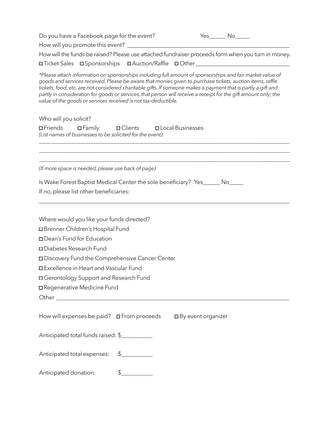| Do you have a Facebook page for the event?                                                                                                                                                                                                                                                                                                                                                                                                                                                                                   |               |                              | $Yes$ $No$ $\qquad$ |  |
|------------------------------------------------------------------------------------------------------------------------------------------------------------------------------------------------------------------------------------------------------------------------------------------------------------------------------------------------------------------------------------------------------------------------------------------------------------------------------------------------------------------------------|---------------|------------------------------|---------------------|--|
|                                                                                                                                                                                                                                                                                                                                                                                                                                                                                                                              |               |                              |                     |  |
| How will the funds be raised? Please use attached fundraiser proceeds form when you turn in money.                                                                                                                                                                                                                                                                                                                                                                                                                           |               |                              |                     |  |
| <b>OTicket Sales OT Sponsorships OT Auction/Raffle Other COMPLER OT AUGE ASSEMBLY</b>                                                                                                                                                                                                                                                                                                                                                                                                                                        |               |                              |                     |  |
| *Please attach information on sponsorships including full amount of sponsorships and fair market value of<br>goods and services received. Please be aware that monies given to purchase tickets, auction items, raffle<br>tickets, food, etc. are not considered charitable gifts. If someone makes a payment that is partly a gift and<br>partly in consideration for goods or services, that person will receive a receipt for the gift amount only; the<br>value of the goods or services received is not tax-deductible. |               |                              |                     |  |
| Who will you solicit?                                                                                                                                                                                                                                                                                                                                                                                                                                                                                                        |               |                              |                     |  |
| <b>□Friends</b> □Family □Clients □Local Businesses<br>(List names of businesses to be solicited for the event):                                                                                                                                                                                                                                                                                                                                                                                                              |               |                              |                     |  |
| (If more space is needed, please use back of page)                                                                                                                                                                                                                                                                                                                                                                                                                                                                           |               |                              |                     |  |
| Is Wake Forest Baptist Medical Center the sole beneficiary? Yes______ No_____<br>If no, please list other beneficiaries:                                                                                                                                                                                                                                                                                                                                                                                                     |               |                              |                     |  |
| Where would you like your funds directed?                                                                                                                                                                                                                                                                                                                                                                                                                                                                                    |               |                              |                     |  |
| □ Brenner Children's Hospital Fund                                                                                                                                                                                                                                                                                                                                                                                                                                                                                           |               |                              |                     |  |
| □ Dean's Fund for Education                                                                                                                                                                                                                                                                                                                                                                                                                                                                                                  |               |                              |                     |  |
| □ Diabetes Research Fund                                                                                                                                                                                                                                                                                                                                                                                                                                                                                                     |               |                              |                     |  |
| Discovery Fund the Comprehensive Cancer Center                                                                                                                                                                                                                                                                                                                                                                                                                                                                               |               |                              |                     |  |
| □ Excellence in Heart and Vascular Fund                                                                                                                                                                                                                                                                                                                                                                                                                                                                                      |               |                              |                     |  |
| □ Gerontology Support and Research Fund                                                                                                                                                                                                                                                                                                                                                                                                                                                                                      |               |                              |                     |  |
| □ Regenerative Medicine Fund                                                                                                                                                                                                                                                                                                                                                                                                                                                                                                 |               |                              |                     |  |
|                                                                                                                                                                                                                                                                                                                                                                                                                                                                                                                              |               |                              |                     |  |
|                                                                                                                                                                                                                                                                                                                                                                                                                                                                                                                              |               |                              |                     |  |
| How will expenses be paid? $\Box$ From proceeds                                                                                                                                                                                                                                                                                                                                                                                                                                                                              |               | $\square$ By event organizer |                     |  |
| Anticipated total funds raised: \$                                                                                                                                                                                                                                                                                                                                                                                                                                                                                           |               |                              |                     |  |
| Anticipated total expenses: \$                                                                                                                                                                                                                                                                                                                                                                                                                                                                                               |               |                              |                     |  |
| Anticipated donation:                                                                                                                                                                                                                                                                                                                                                                                                                                                                                                        | $\frac{1}{2}$ |                              |                     |  |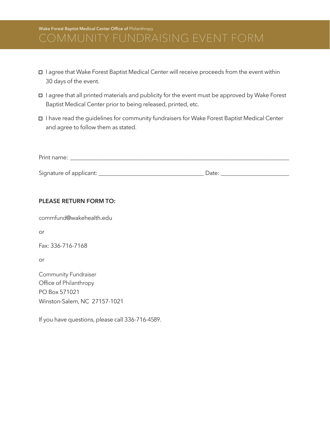## Wake Forest Baptist Medical Center Office of Philanthropy

- I agree that Wake Forest Baptist Medical Center will receive proceeds from the event within 30 days of the event.
- I agree that all printed materials and publicity for the event must be approved by Wake Forest Baptist Medical Center prior to being released, printed, etc.
- I have read the guidelines for community fundraisers for Wake Forest Baptist Medical Center and agree to follow them as stated.

| Print name:             |       |  |
|-------------------------|-------|--|
|                         |       |  |
| Signature of applicant: | Date: |  |

#### **PLEASE RETURN FORM TO:**

commfund@wakehealth.edu

or

Fax: 336-716-7168

or

Community Fundraiser Office of Philanthropy PO Box 571021 Winston-Salem, NC 27157-1021

If you have questions, please call 336-716-4589.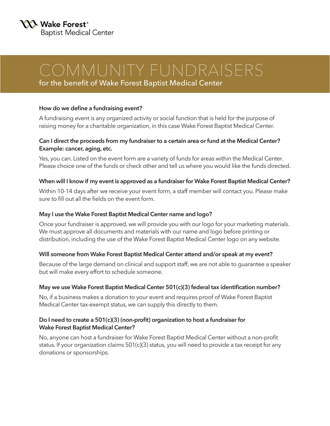## COMMUNITY FUNDRAISERS

for the benefit of Wake Forest Baptist Medical Center

#### **How do we define a fundraising event?**

A fundraising event is any organized activity or social function that is held for the purpose of raising money for a charitable organization, in this case Wake Forest Baptist Medical Center.

#### **Can I direct the proceeds from my fundraiser to a certain area or fund at the Medical Center? Example: cancer, aging, etc.**

Yes, you can. Listed on the event form are a variety of funds for areas within the Medical Center. Please choice one of the funds or check other and tell us where you would like the funds directed.

#### **When will I know if my event is approved as a fundraiser for Wake Forest Baptist Medical Center?**

Within 10-14 days after we receive your event form, a staff member will contact you. Please make sure to fill out all the fields on the event form.

#### **May I use the Wake Forest Baptist Medical Center name and logo?**

Once your fundraiser is approved, we will provide you with our logo for your marketing materials. We must approve all documents and materials with our name and logo before printing or distribution, including the use of the Wake Forest Baptist Medical Center logo on any website.

### **Will someone from Wake Forest Baptist Medical Center attend and/or speak at my event?**

Because of the large demand on clinical and support staff, we are not able to guarantee a speaker but will make every effort to schedule someone.

#### **May we use Wake Forest Baptist Medical Center 501(c)(3) federal tax identification number?**

No, if a business makes a donation to your event and requires proof of Wake Forest Baptist Medical Center tax-exempt status, we can supply this directly to them.

#### **Do I need to create a 501(c)(3) (non-profit) organization to host a fundraiser for Wake Forest Baptist Medical Center?**

No, anyone can host a fundraiser for Wake Forest Baptist Medical Center without a non-profit status. If your organization claims 501(c)(3) status, you will need to provide a tax receipt for any donations or sponsorships.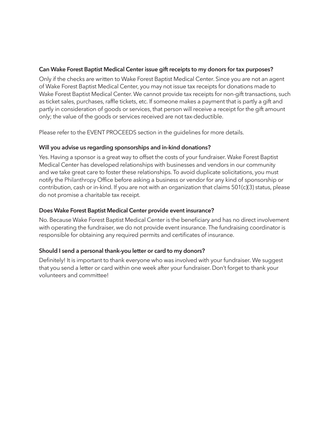#### **Can Wake Forest Baptist Medical Center issue gift receipts to my donors for tax purposes?**

Only if the checks are written to Wake Forest Baptist Medical Center. Since you are not an agent of Wake Forest Baptist Medical Center, you may not issue tax receipts for donations made to Wake Forest Baptist Medical Center. We cannot provide tax receipts for non-gift transactions, such as ticket sales, purchases, raffle tickets, etc. If someone makes a payment that is partly a gift and partly in consideration of goods or services, that person will receive a receipt for the gift amount only; the value of the goods or services received are not tax-deductible.

Please refer to the EVENT PROCEEDS section in the guidelines for more details.

#### **Will you advise us regarding sponsorships and in-kind donations?**

Yes. Having a sponsor is a great way to offset the costs of your fundraiser. Wake Forest Baptist Medical Center has developed relationships with businesses and vendors in our community and we take great care to foster these relationships. To avoid duplicate solicitations, you must notify the Philanthropy Office before asking a business or vendor for any kind of sponsorship or contribution, cash or in-kind. If you are not with an organization that claims  $501(c)(3)$  status, please do not promise a charitable tax receipt.

#### **Does Wake Forest Baptist Medical Center provide event insurance?**

No. Because Wake Forest Baptist Medical Center is the beneficiary and has no direct involvement with operating the fundraiser, we do not provide event insurance. The fundraising coordinator is responsible for obtaining any required permits and certificates of insurance.

### **Should I send a personal thank-you letter or card to my donors?**

Definitely! It is important to thank everyone who was involved with your fundraiser. We suggest that you send a letter or card within one week after your fundraiser. Don't forget to thank your volunteers and committee!